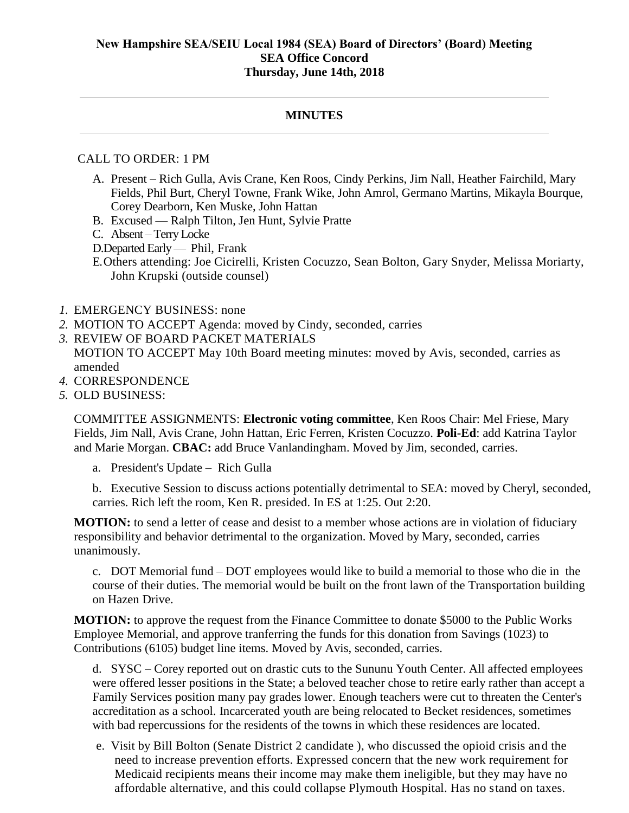## **MINUTES**

## CALL TO ORDER: 1 PM

- A. Present Rich Gulla, Avis Crane, Ken Roos, Cindy Perkins, Jim Nall, Heather Fairchild, Mary Fields, Phil Burt, Cheryl Towne, Frank Wike, John Amrol, Germano Martins, Mikayla Bourque, Corey Dearborn, Ken Muske, John Hattan
- B. Excused Ralph Tilton, Jen Hunt, Sylvie Pratte
- C. Absent Terry Locke
- D.Departed Early Phil, Frank
- E.Others attending: Joe Cicirelli, Kristen Cocuzzo, Sean Bolton, Gary Snyder, Melissa Moriarty, John Krupski (outside counsel)
- *1.* EMERGENCY BUSINESS: none
- *2.* MOTION TO ACCEPT Agenda: moved by Cindy, seconded, carries
- *3.* REVIEW OF BOARD PACKET MATERIALS MOTION TO ACCEPT May 10th Board meeting minutes: moved by Avis, seconded, carries as amended
- *4.* CORRESPONDENCE
- *5.* OLD BUSINESS:

COMMITTEE ASSIGNMENTS: **Electronic voting committee**, Ken Roos Chair: Mel Friese, Mary Fields, Jim Nall, Avis Crane, John Hattan, Eric Ferren, Kristen Cocuzzo. **Poli-Ed**: add Katrina Taylor and Marie Morgan. **CBAC:** add Bruce Vanlandingham. Moved by Jim, seconded, carries.

a. President's Update – Rich Gulla

b. Executive Session to discuss actions potentially detrimental to SEA: moved by Cheryl, seconded, carries. Rich left the room, Ken R. presided. In ES at 1:25. Out 2:20.

**MOTION:** to send a letter of cease and desist to a member whose actions are in violation of fiduciary responsibility and behavior detrimental to the organization. Moved by Mary, seconded, carries unanimously.

c. DOT Memorial fund – DOT employees would like to build a memorial to those who die in the course of their duties. The memorial would be built on the front lawn of the Transportation building on Hazen Drive.

**MOTION:** to approve the request from the Finance Committee to donate \$5000 to the Public Works Employee Memorial, and approve tranferring the funds for this donation from Savings (1023) to Contributions (6105) budget line items. Moved by Avis, seconded, carries.

d. SYSC – Corey reported out on drastic cuts to the Sununu Youth Center. All affected employees were offered lesser positions in the State; a beloved teacher chose to retire early rather than accept a Family Services position many pay grades lower. Enough teachers were cut to threaten the Center's accreditation as a school. Incarcerated youth are being relocated to Becket residences, sometimes with bad repercussions for the residents of the towns in which these residences are located.

e. Visit by Bill Bolton (Senate District 2 candidate ), who discussed the opioid crisis and the need to increase prevention efforts. Expressed concern that the new work requirement for Medicaid recipients means their income may make them ineligible, but they may have no affordable alternative, and this could collapse Plymouth Hospital. Has no stand on taxes.